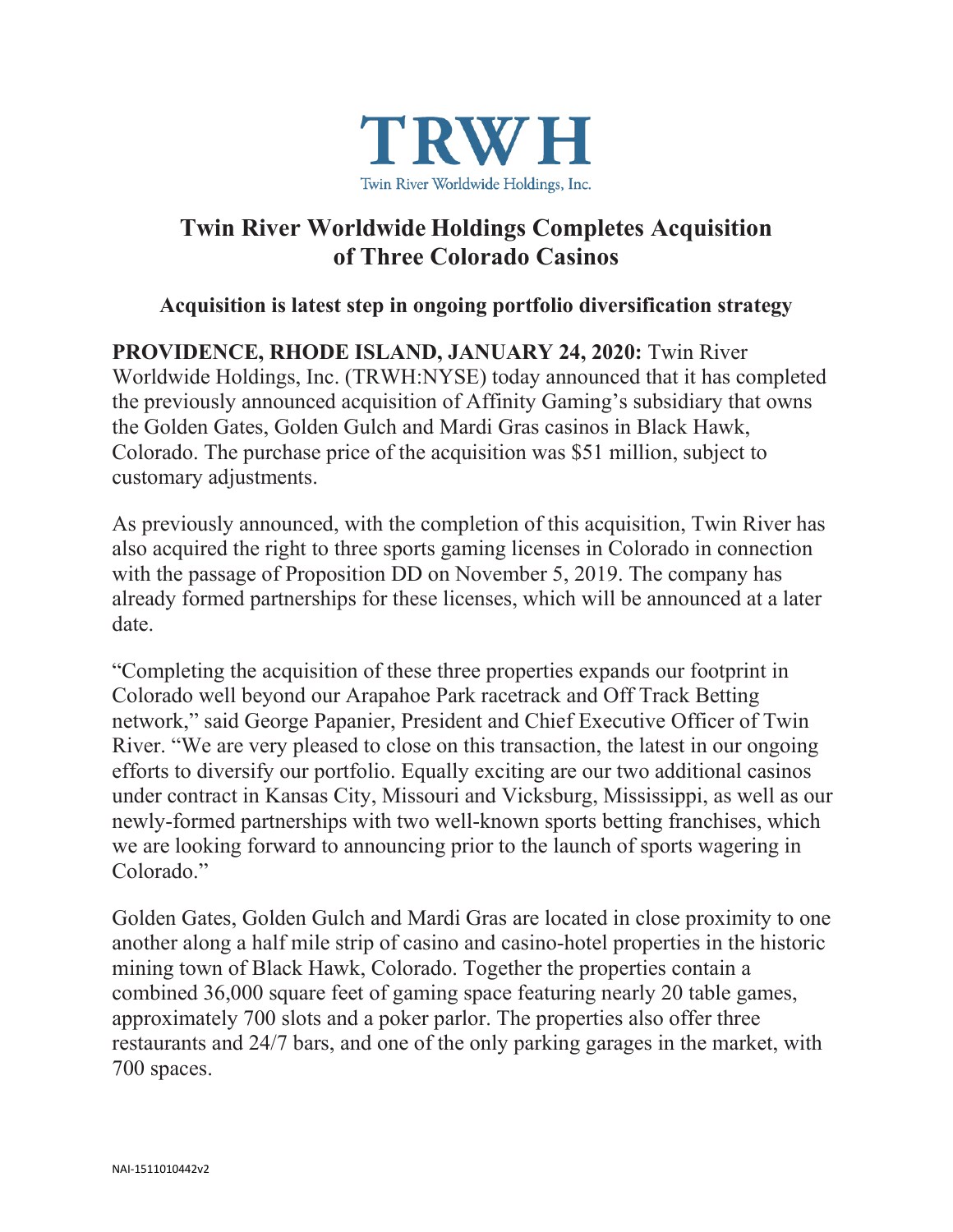

# **Twin River Worldwide Holdings Completes Acquisition of Three Colorado Casinos**

# **Acquisition is latest step in ongoing portfolio diversification strategy**

**PROVIDENCE, RHODE ISLAND, JANUARY 24, 2020:** Twin River Worldwide Holdings, Inc. (TRWH:NYSE) today announced that it has completed the previously announced acquisition of Affinity Gaming's subsidiary that owns the Golden Gates, Golden Gulch and Mardi Gras casinos in Black Hawk, Colorado. The purchase price of the acquisition was \$51 million, subject to customary adjustments.

As previously announced, with the completion of this acquisition, Twin River has also acquired the right to three sports gaming licenses in Colorado in connection with the passage of Proposition DD on November 5, 2019. The company has already formed partnerships for these licenses, which will be announced at a later date.

"Completing the acquisition of these three properties expands our footprint in Colorado well beyond our Arapahoe Park racetrack and Off Track Betting network," said George Papanier, President and Chief Executive Officer of Twin River. "We are very pleased to close on this transaction, the latest in our ongoing efforts to diversify our portfolio. Equally exciting are our two additional casinos under contract in Kansas City, Missouri and Vicksburg, Mississippi, as well as our newly-formed partnerships with two well-known sports betting franchises, which we are looking forward to announcing prior to the launch of sports wagering in Colorado."

Golden Gates, Golden Gulch and Mardi Gras are located in close proximity to one another along a half mile strip of casino and casino-hotel properties in the historic mining town of Black Hawk, Colorado. Together the properties contain a combined 36,000 square feet of gaming space featuring nearly 20 table games, approximately 700 slots and a poker parlor. The properties also offer three restaurants and 24/7 bars, and one of the only parking garages in the market, with 700 spaces.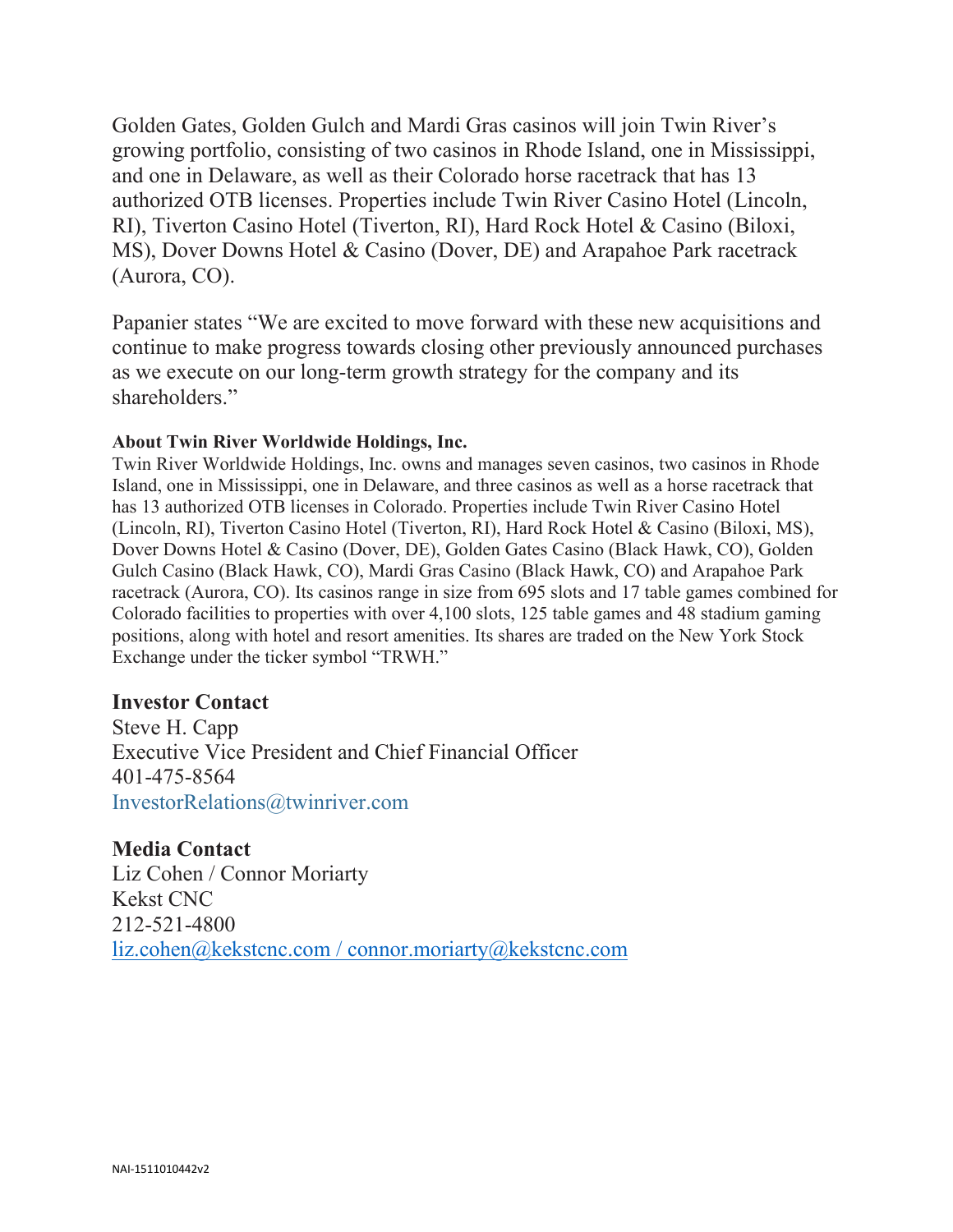Golden Gates, Golden Gulch and Mardi Gras casinos will join Twin River's growing portfolio, consisting of two casinos in Rhode Island, one in Mississippi, and one in Delaware, as well as their Colorado horse racetrack that has 13 authorized OTB licenses. Properties include Twin River Casino Hotel (Lincoln, RI), Tiverton Casino Hotel (Tiverton, RI), Hard Rock Hotel & Casino (Biloxi, MS), Dover Downs Hotel & Casino (Dover, DE) and Arapahoe Park racetrack (Aurora, CO).

Papanier states "We are excited to move forward with these new acquisitions and continue to make progress towards closing other previously announced purchases as we execute on our long-term growth strategy for the company and its shareholders."

#### **About Twin River Worldwide Holdings, Inc.**

Twin River Worldwide Holdings, Inc. owns and manages seven casinos, two casinos in Rhode Island, one in Mississippi, one in Delaware, and three casinos as well as a horse racetrack that has 13 authorized OTB licenses in Colorado. Properties include Twin River Casino Hotel (Lincoln, RI), Tiverton Casino Hotel (Tiverton, RI), Hard Rock Hotel & Casino (Biloxi, MS), Dover Downs Hotel & Casino (Dover, DE), Golden Gates Casino (Black Hawk, CO), Golden Gulch Casino (Black Hawk, CO), Mardi Gras Casino (Black Hawk, CO) and Arapahoe Park racetrack (Aurora, CO). Its casinos range in size from 695 slots and 17 table games combined for Colorado facilities to properties with over 4,100 slots, 125 table games and 48 stadium gaming positions, along with hotel and resort amenities. Its shares are traded on the New York Stock Exchange under the ticker symbol "TRWH."

### **Investor Contact**

Steve H. Capp Executive Vice President and Chief Financial Officer 401-475-8564 [InvestorRelations@twinriver.com](mailto:InvestorRelations@twinriver.com)

**Media Contact** Liz Cohen / Connor Moriarty Kekst CNC 212-521-4800 [liz.cohen@kekstcnc.com](mailto:patti.doyle@gmail.com) / connor.moriarty@kekstcnc.com